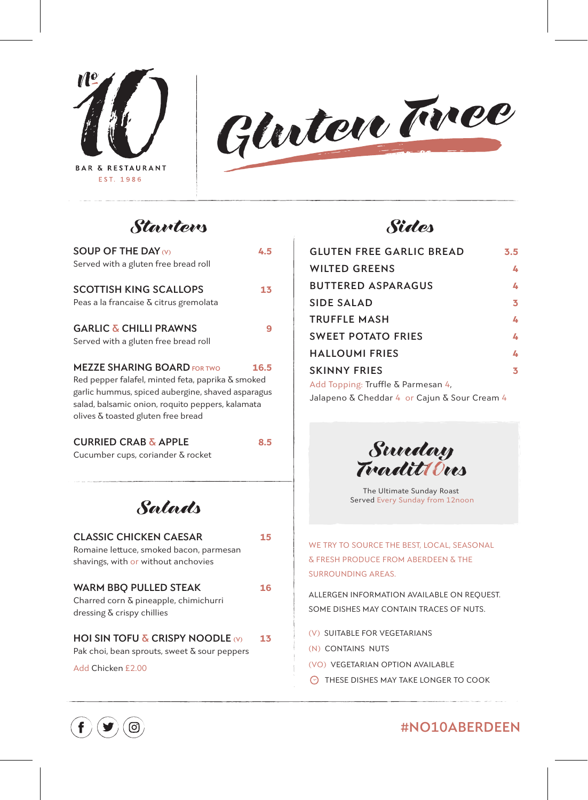**BAR & RESTAURANT** EST. 1986



# *Starters*

| SOUP OF THE DAY $\omega$<br>Served with a gluten free bread roll        | 4.5  |
|-------------------------------------------------------------------------|------|
|                                                                         |      |
| <b>SCOTTISH KING SCALLOPS</b><br>Peas a la francaise & citrus gremolata | 13   |
|                                                                         |      |
| <b>GARLIC &amp; CHILLI PRAWNS</b>                                       |      |
| Served with a gluten free bread roll                                    |      |
| <b>MEZZE SHARING BOARD FOR TWO</b>                                      | 16.5 |
| Red pepper falafel, minted feta, paprika & smoked                       |      |
| garlic hummus, spiced aubergine, shaved asparagus                       |      |
| salad, balsamic onion, roquito peppers, kalamata                        |      |
| olives & toasted gluten free bread                                      |      |
| <b>CURRIED CRAB &amp; APPLE</b>                                         |      |

Cucumber cups, coriander & rocket

## *Salads*

| <b>CLASSIC CHICKEN CAESAR</b>           | 15 |
|-----------------------------------------|----|
| Romaine lettuce, smoked bacon, parmesan |    |
| shavings, with or without anchovies     |    |
|                                         |    |
| <b>WARM BBO PULLED STEAK</b>            | 16 |
| Charred corn & pineapple, chimichurri   |    |
| dressing $\delta$ crispy chillies       |    |

### **HOI SIN TOFU & CRISPY NOODLE**  $\omega$  **13**

Pak choi, bean sprouts, sweet & sour peppers

Add Chicken £2.00



| <b>GLUTEN FREE GARLIC BREAD</b>              | 3.5 |
|----------------------------------------------|-----|
| <b>WILTED GREENS</b>                         | 4   |
| <b>BUTTERED ASPARAGUS</b>                    | 4   |
| <b>SIDE SALAD</b>                            | 3   |
| <b>TRUFFLE MASH</b>                          | 4   |
| <b>SWEET POTATO FRIES</b>                    | 4   |
| <b>HALLOUMI FRIES</b>                        | 4   |
| <b>SKINNY FRIES</b>                          | 3   |
| Add Topping: Truffle & Parmesan 4.           |     |
| Jalapeno & Cheddar 4 or Cajun & Sour Cream 4 |     |



The Ultimate Sunday Roast Served Every Sunday from 12noon

WE TRY TO SOURCE THE BEST, LOCAL, SEASONAL & FRESH PRODUCE FROM ABERDEEN & THE SURROUNDING AREAS.

ALLERGEN INFORMATION AVAILABLE ON REQUEST. SOME DISHES MAY CONTAIN TRACES OF NUTS.

- (V) SUITABLE FOR VEGETARIANS
- (N) CONTAINS NUTS
- (VO) VEGETARIAN OPTION AVAILABLE
- **THESE DISHES MAY TAKE LONGER TO COOK**



## **#NO10ABERDEEN**